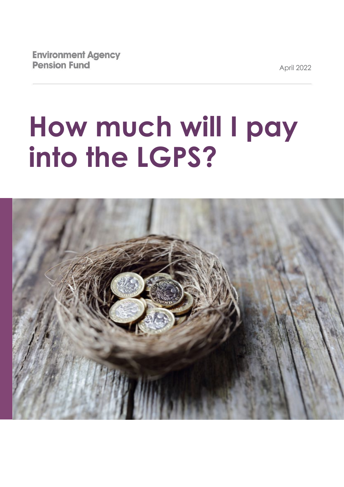April 2022

# **How much will I pay into the LGPS?**

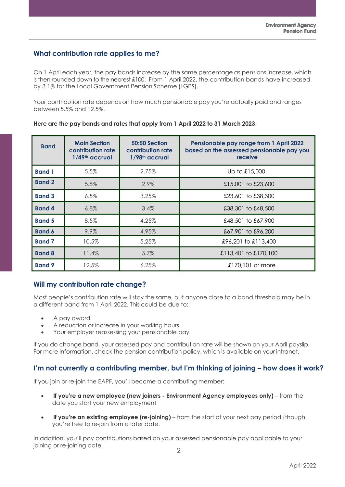## **What contribution rate applies to me?**

On 1 April each year, the pay bands increase by the same percentage as pensions increase, which is then rounded down to the nearest £100. From 1 April 2022, the contribution bands have increased by 3.1% for the Local Government Pension Scheme (LGPS).

Your contribution rate depends on how much pensionable pay you're actually paid and ranges between 5.5% and 12.5%.

**Here are the pay bands and rates that apply from 1 April 2022 to 31 March 2023**:

| <b>Band</b>   | <b>Main Section</b><br>contribution rate<br>1/49th accrual | 50:50 Section<br>contribution rate<br>1/98 <sup>th</sup> accrual | Pensionable pay range from 1 April 2022<br>based on the assessed pensionable pay you<br>receive |
|---------------|------------------------------------------------------------|------------------------------------------------------------------|-------------------------------------------------------------------------------------------------|
| <b>Band 1</b> | 5.5%                                                       | 2.75%                                                            | Up to £15,000                                                                                   |
| <b>Band 2</b> | 5.8%                                                       | 2.9%                                                             | £15,001 to £23,600                                                                              |
| <b>Band 3</b> | $6.5\%$                                                    | 3.25%                                                            | £23,601 to £38,300                                                                              |
| <b>Band 4</b> | 6.8%                                                       | 3.4%                                                             | £38,301 to £48,500                                                                              |
| <b>Band 5</b> | 8.5%                                                       | 4.25%                                                            | £48,501 to £67,900                                                                              |
| <b>Band 6</b> | 9.9%                                                       | 4.95%                                                            | £67,901 to £96,200                                                                              |
| <b>Band 7</b> | 10.5%                                                      | 5.25%                                                            | £96,201 to £113,400                                                                             |
| <b>Band 8</b> | 11.4%                                                      | 5.7%                                                             | £113,401 to £170,100                                                                            |
| <b>Band 9</b> | 12.5%                                                      | 6.25%                                                            | £170,101 or more                                                                                |

## **Will my contribution rate change?**

Most people's contribution rate will stay the same, but anyone close to a band threshold may be in a different band from 1 April 2022. This could be due to:

- A pay award
- A reduction or increase in your working hours
- Your employer reassessing your pensionable pay

If you do change band, your assessed pay and contribution rate will be shown on your April payslip. For more information, check the pension contribution policy, which is available on your intranet.

## **I'm not currently a contributing member, but I'm thinking of joining – how does it work?**

If you join or re-join the EAPF, you'll become a contributing member:

- **If you're a new employee (new joiners - Environment Agency employees only)** from the date you start your new employment
- **If you're an existing employee (re-joining)** from the start of your next pay period (though you're free to re-join from a later date.

In addition, you'll pay contributions based on your assessed pensionable pay applicable to your joining or re-joining date.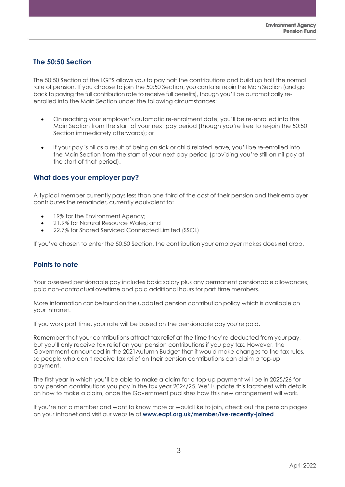## **The 50:50 Section**

The 50:50 Section of the LGPS allows you to pay half the contributions and build up half the normal rate of pension. If you choose to join the 50:50 Section, you can later rejoin the Main Section (and go back to paying the full contribution rate to receive full benefits), though you'll be automatically reenrolled into the Main Section under the following circumstances:

- On reaching your employer's automatic re-enrolment date, you'll be re-enrolled into the Main Section from the start of your next pay period (though you're free to re-join the 50:50 Section immediately afterwards); or
- If your pay is nil as a result of being on sick or child related leave, you'll be re-enrolled into the Main Section from the start of your next pay period (providing you're still on nil pay at the start of that period).

#### **What does your employer pay?**

A typical member currently pays less than one third of the cost of their pension and their employer contributes the remainder, currently equivalent to:

- 19% for the Environment Agency;
- 21.9% for Natural Resource Wales; and
- 22.7% for Shared Serviced Connected Limited (SSCL)

If you've chosen to enter the 50:50 Section, the contribution your employer makes does **not** drop.

## **Points to note**

Your assessed pensionable pay includes basic salary plus any permanent pensionable allowances, paid non-contractual overtime and paid additional hours for part time members.

More information can be found on the updated pension contribution policy which is available on your intranet.

If you work part time, your rate will be based on the pensionable pay you're paid.

Remember that your contributions attract tax relief at the time they're deducted from your pay, but you'll only receive tax relief on your pension contributions if you pay tax. However, the Government announced in the 2021Autumn Budget that it would make changes to the tax rules, so people who don't receive tax relief on their pension contributions can claim a top-up payment.

The first year in which you'll be able to make a claim for a top-up payment will be in 2025/26 for any pension contributions you pay in the tax year 2024/25. We'll update this factsheet with details on how to make a claim, once the Government publishes how this new arrangement will work.

If you're not a member and want to know more or would like to join, check out the pension pages on your intranet and visit our website at **[www.eapf.org.uk/member/ive-recently-joined](http://www.eapf.org.uk/member/ive-recently-joined)**